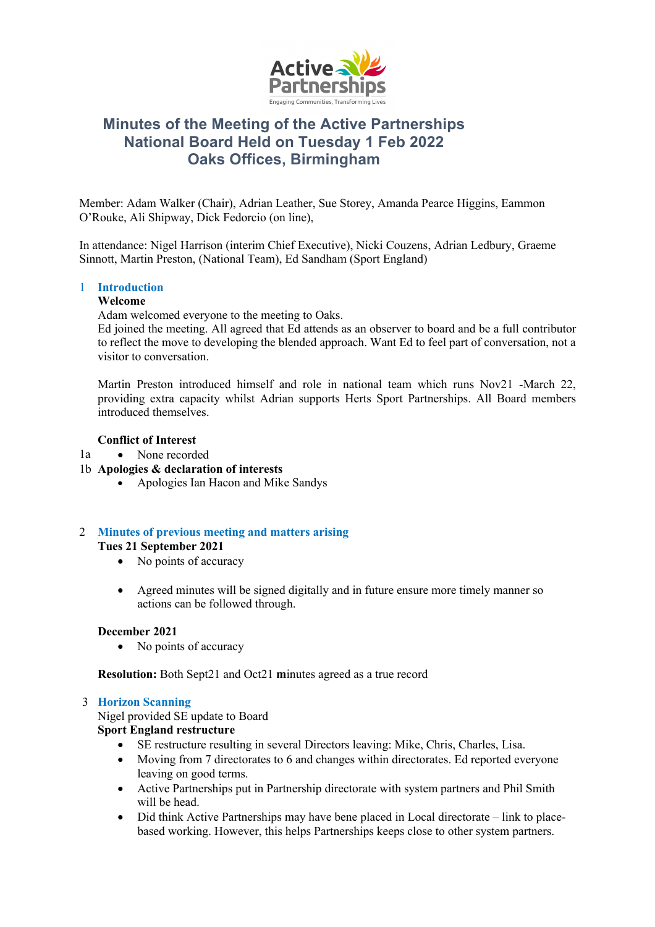

# **Minutes of the Meeting of the Active Partnerships National Board Held on Tuesday 1 Feb 2022 Oaks Offices, Birmingham**

Member: Adam Walker (Chair), Adrian Leather, Sue Storey, Amanda Pearce Higgins, Eammon O'Rouke, Ali Shipway, Dick Fedorcio (on line), 

In attendance: Nigel Harrison (interim Chief Executive), Nicki Couzens, Adrian Ledbury, Graeme Sinnott, Martin Preston, (National Team), Ed Sandham (Sport England)

# 1 **Introduction**

## **Welcome**

Adam welcomed everyone to the meeting to Oaks.

Ed joined the meeting. All agreed that Ed attends as an observer to board and be a full contributor to reflect the move to developing the blended approach. Want Ed to feel part of conversation, not a visitor to conversation.

Martin Preston introduced himself and role in national team which runs Nov21 -March 22, providing extra capacity whilst Adrian supports Herts Sport Partnerships. All Board members introduced themselves.

# **Conflict of Interest**

- $1a$ • None recorded
- 1b **Apologies & declaration of interests**
	- Apologies Ian Hacon and Mike Sandys

## 2 **Minutes of previous meeting and matters arising Tues 21 September 2021**

- No points of accuracy
- Agreed minutes will be signed digitally and in future ensure more timely manner so actions can be followed through.

# **December 2021**

• No points of accuracy

**Resolution:** Both Sept21 and Oct21 **m**inutes agreed as a true record

#### 3 **Horizon Scanning**

Nigel provided SE update to Board

# **Sport England restructure**

- SE restructure resulting in several Directors leaving: Mike, Chris, Charles, Lisa.
- Moving from 7 directorates to 6 and changes within directorates. Ed reported everyone leaving on good terms.
- Active Partnerships put in Partnership directorate with system partners and Phil Smith will be head.
- Did think Active Partnerships may have bene placed in Local directorate link to placebased working. However, this helps Partnerships keeps close to other system partners.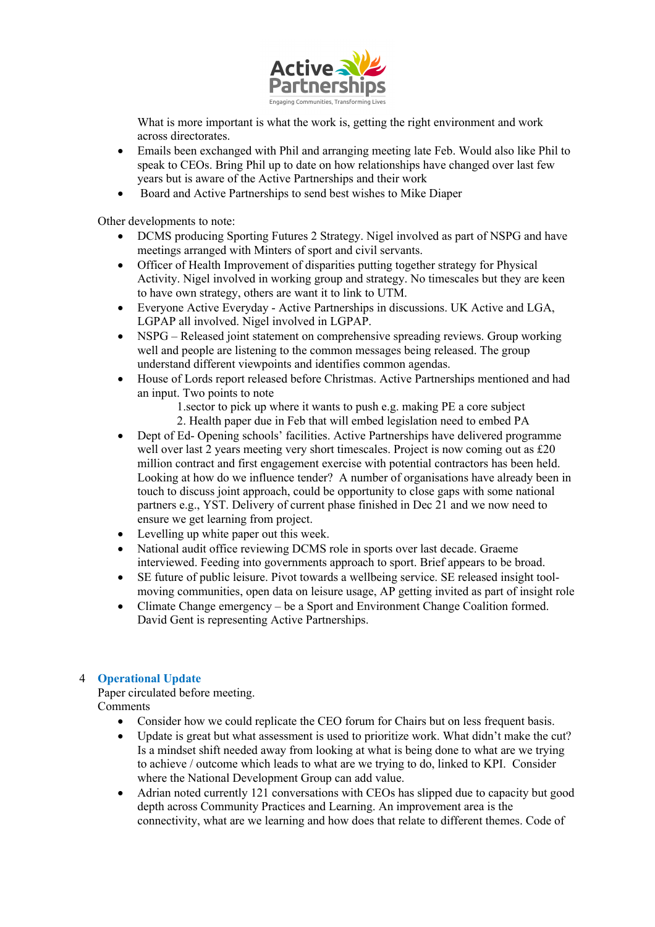

What is more important is what the work is, getting the right environment and work across directorates.

- Emails been exchanged with Phil and arranging meeting late Feb. Would also like Phil to speak to CEOs. Bring Phil up to date on how relationships have changed over last few years but is aware of the Active Partnerships and their work
- Board and Active Partnerships to send best wishes to Mike Diaper

Other developments to note:

- DCMS producing Sporting Futures 2 Strategy. Nigel involved as part of NSPG and have meetings arranged with Minters of sport and civil servants.
- Officer of Health Improvement of disparities putting together strategy for Physical Activity. Nigel involved in working group and strategy. No timescales but they are keen to have own strategy, others are want it to link to UTM.
- Everyone Active Everyday Active Partnerships in discussions. UK Active and LGA, LGPAP all involved. Nigel involved in LGPAP.
- NSPG Released joint statement on comprehensive spreading reviews. Group working well and people are listening to the common messages being released. The group understand different viewpoints and identifies common agendas.
- House of Lords report released before Christmas. Active Partnerships mentioned and had an input. Two points to note

1.sector to pick up where it wants to push e.g. making PE a core subject 2. Health paper due in Feb that will embed legislation need to embed PA

- Dept of Ed- Opening schools' facilities. Active Partnerships have delivered programme well over last 2 years meeting very short timescales. Project is now coming out as £20 million contract and first engagement exercise with potential contractors has been held. Looking at how do we influence tender? A number of organisations have already been in touch to discuss joint approach, could be opportunity to close gaps with some national partners e.g., YST. Delivery of current phase finished in Dec 21 and we now need to ensure we get learning from project.
- Levelling up white paper out this week.
- National audit office reviewing DCMS role in sports over last decade. Graeme interviewed. Feeding into governments approach to sport. Brief appears to be broad.
- SE future of public leisure. Pivot towards a wellbeing service. SE released insight toolmoving communities, open data on leisure usage, AP getting invited as part of insight role
- Climate Change emergency be a Sport and Environment Change Coalition formed. David Gent is representing Active Partnerships.

# 4 **Operational Update**

Paper circulated before meeting. Comments

- Consider how we could replicate the CEO forum for Chairs but on less frequent basis.
- Update is great but what assessment is used to prioritize work. What didn't make the cut? Is a mindset shift needed away from looking at what is being done to what are we trying to achieve / outcome which leads to what are we trying to do, linked to KPI. Consider where the National Development Group can add value.
- Adrian noted currently 121 conversations with CEOs has slipped due to capacity but good depth across Community Practices and Learning. An improvement area is the connectivity, what are we learning and how does that relate to different themes. Code of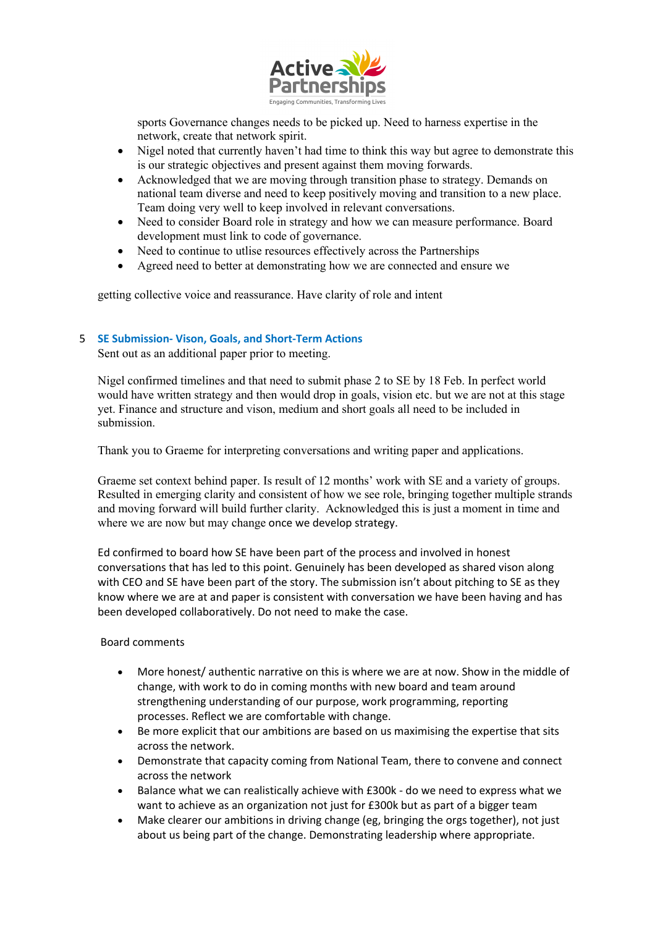

sports Governance changes needs to be picked up. Need to harness expertise in the network, create that network spirit.

- Nigel noted that currently haven't had time to think this way but agree to demonstrate this is our strategic objectives and present against them moving forwards.
- Acknowledged that we are moving through transition phase to strategy. Demands on national team diverse and need to keep positively moving and transition to a new place. Team doing very well to keep involved in relevant conversations.
- Need to consider Board role in strategy and how we can measure performance. Board development must link to code of governance.
- Need to continue to utlise resources effectively across the Partnerships
- Agreed need to better at demonstrating how we are connected and ensure we

getting collective voice and reassurance. Have clarity of role and intent

# 5 **SE Submission- Vison, Goals, and Short-Term Actions**

Sent out as an additional paper prior to meeting.

Nigel confirmed timelines and that need to submit phase 2 to SE by 18 Feb. In perfect world would have written strategy and then would drop in goals, vision etc. but we are not at this stage yet. Finance and structure and vison, medium and short goals all need to be included in submission.

Thank you to Graeme for interpreting conversations and writing paper and applications.

Graeme set context behind paper. Is result of 12 months' work with SE and a variety of groups. Resulted in emerging clarity and consistent of how we see role, bringing together multiple strands and moving forward will build further clarity. Acknowledged this is just a moment in time and where we are now but may change once we develop strategy.

Ed confirmed to board how SE have been part of the process and involved in honest conversations that has led to this point. Genuinely has been developed as shared vison along with CEO and SE have been part of the story. The submission isn't about pitching to SE as they know where we are at and paper is consistent with conversation we have been having and has been developed collaboratively. Do not need to make the case.

## Board comments

- More honest/ authentic narrative on this is where we are at now. Show in the middle of change, with work to do in coming months with new board and team around strengthening understanding of our purpose, work programming, reporting processes. Reflect we are comfortable with change.
- Be more explicit that our ambitions are based on us maximising the expertise that sits across the network.
- Demonstrate that capacity coming from National Team, there to convene and connect across the network
- Balance what we can realistically achieve with £300k do we need to express what we want to achieve as an organization not just for £300k but as part of a bigger team
- Make clearer our ambitions in driving change (eg, bringing the orgs together), not just about us being part of the change. Demonstrating leadership where appropriate.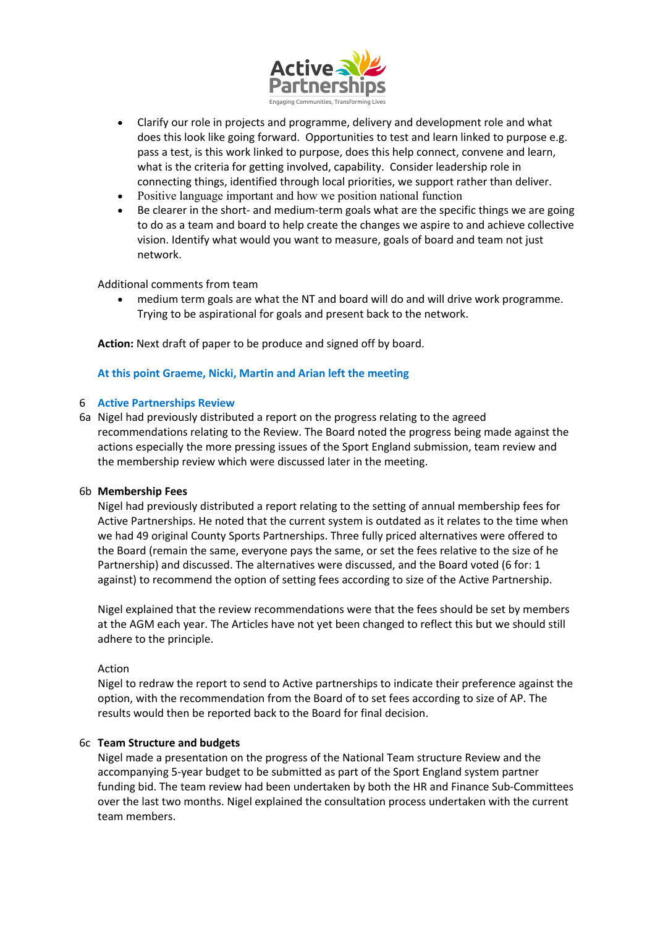

- Clarify our role in projects and programme, delivery and development role and what does this look like going forward. Opportunities to test and learn linked to purpose e.g. pass a test, is this work linked to purpose, does this help connect, convene and learn, what is the criteria for getting involved, capability. Consider leadership role in connecting things, identified through local priorities, we support rather than deliver.
- Positive language important and how we position national function
- Be clearer in the short- and medium-term goals what are the specific things we are going to do as a team and board to help create the changes we aspire to and achieve collective vision. Identify what would you want to measure, goals of board and team not just network.

### Additional comments from team

• medium term goals are what the NT and board will do and will drive work programme. Trying to be aspirational for goals and present back to the network.

**Action:** Next draft of paper to be produce and signed off by board.

### **At this point Graeme, Nicki, Martin and Arian left the meeting**

## 6 **Active Partnerships Review**

6a Nigel had previously distributed a report on the progress relating to the agreed recommendations relating to the Review. The Board noted the progress being made against the actions especially the more pressing issues of the Sport England submission, team review and the membership review which were discussed later in the meeting.

#### 6b **Membership Fees**

Nigel had previously distributed a report relating to the setting of annual membership fees for Active Partnerships. He noted that the current system is outdated as it relates to the time when we had 49 original County Sports Partnerships. Three fully priced alternatives were offered to the Board (remain the same, everyone pays the same, or set the fees relative to the size of he Partnership) and discussed. The alternatives were discussed, and the Board voted (6 for: 1 against) to recommend the option of setting fees according to size of the Active Partnership.

Nigel explained that the review recommendations were that the fees should be set by members at the AGM each year. The Articles have not yet been changed to reflect this but we should still adhere to the principle.

#### Action

Nigel to redraw the report to send to Active partnerships to indicate their preference against the option, with the recommendation from the Board of to set fees according to size of AP. The results would then be reported back to the Board for final decision.

#### 6c **Team Structure and budgets**

Nigel made a presentation on the progress of the National Team structure Review and the accompanying 5-year budget to be submitted as part of the Sport England system partner funding bid. The team review had been undertaken by both the HR and Finance Sub-Committees over the last two months. Nigel explained the consultation process undertaken with the current team members.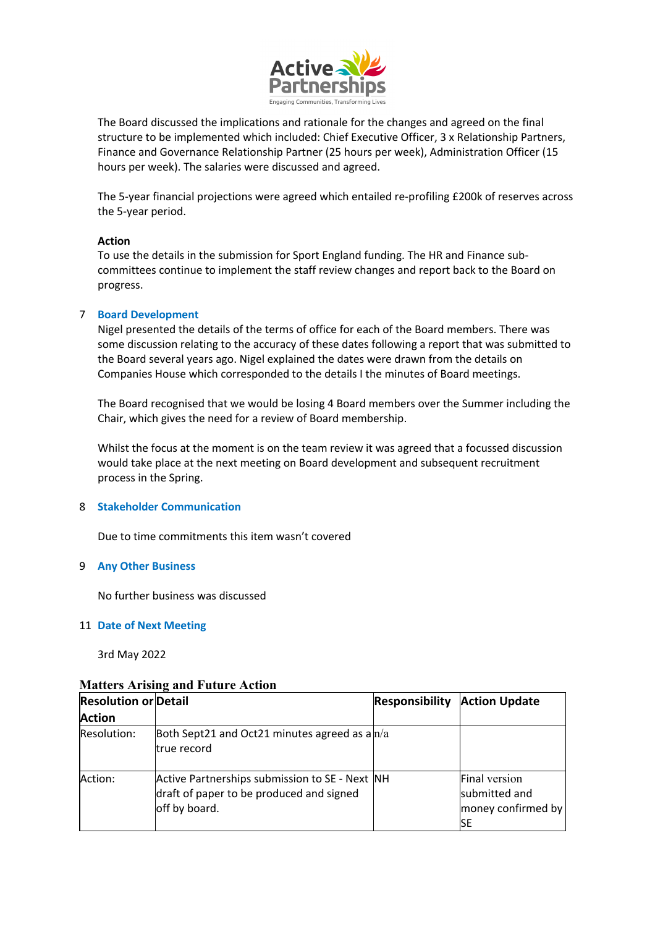

The Board discussed the implications and rationale for the changes and agreed on the final structure to be implemented which included: Chief Executive Officer, 3 x Relationship Partners, Finance and Governance Relationship Partner (25 hours per week), Administration Officer (15 hours per week). The salaries were discussed and agreed.

The 5-year financial projections were agreed which entailed re-profiling £200k of reserves across the 5-year period.

### **Action**

To use the details in the submission for Sport England funding. The HR and Finance subcommittees continue to implement the staff review changes and report back to the Board on progress.

### 7 **Board Development**

Nigel presented the details of the terms of office for each of the Board members. There was some discussion relating to the accuracy of these dates following a report that was submitted to the Board several years ago. Nigel explained the dates were drawn from the details on Companies House which corresponded to the details I the minutes of Board meetings.

The Board recognised that we would be losing 4 Board members over the Summer including the Chair, which gives the need for a review of Board membership.

Whilst the focus at the moment is on the team review it was agreed that a focussed discussion would take place at the next meeting on Board development and subsequent recruitment process in the Spring.

#### 8 **Stakeholder Communication**

Due to time commitments this item wasn't covered

#### 9 **Any Other Business**

No further business was discussed

#### 11 **Date of Next Meeting**

3rd May 2022

## **Matters Arising and Future Action**

| <b>Resolution or Detail</b><br><b>Action</b> |                                                                                                             | <b>Responsibility</b> | <b>Action Update</b>                                              |
|----------------------------------------------|-------------------------------------------------------------------------------------------------------------|-----------------------|-------------------------------------------------------------------|
| Resolution:                                  | Both Sept21 and Oct21 minutes agreed as $a n/a$<br>true record                                              |                       |                                                                   |
| Action:                                      | Active Partnerships submission to SE - Next NH<br>draft of paper to be produced and signed<br>off by board. |                       | <b>Final version</b><br>submitted and<br>money confirmed by<br>SЕ |